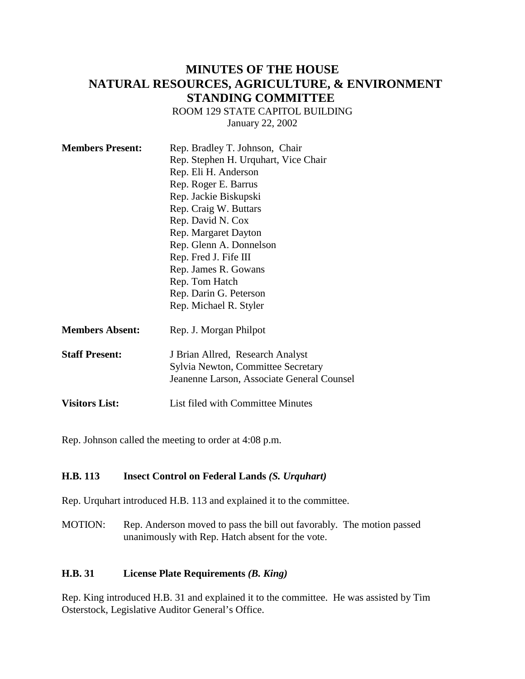## **MINUTES OF THE HOUSE NATURAL RESOURCES, AGRICULTURE, & ENVIRONMENT STANDING COMMITTEE**

ROOM 129 STATE CAPITOL BUILDING

January 22, 2002

| <b>Members Present:</b> | Rep. Bradley T. Johnson, Chair             |
|-------------------------|--------------------------------------------|
|                         | Rep. Stephen H. Urquhart, Vice Chair       |
|                         | Rep. Eli H. Anderson                       |
|                         | Rep. Roger E. Barrus                       |
|                         | Rep. Jackie Biskupski                      |
|                         | Rep. Craig W. Buttars                      |
|                         | Rep. David N. Cox                          |
|                         | Rep. Margaret Dayton                       |
|                         | Rep. Glenn A. Donnelson                    |
|                         | Rep. Fred J. Fife III                      |
|                         | Rep. James R. Gowans                       |
|                         | Rep. Tom Hatch                             |
|                         | Rep. Darin G. Peterson                     |
|                         | Rep. Michael R. Styler                     |
| <b>Members Absent:</b>  | Rep. J. Morgan Philpot                     |
| <b>Staff Present:</b>   | J Brian Allred, Research Analyst           |
|                         | Sylvia Newton, Committee Secretary         |
|                         | Jeanenne Larson, Associate General Counsel |
| <b>Visitors List:</b>   | <b>List filed with Committee Minutes</b>   |

Rep. Johnson called the meeting to order at 4:08 p.m.

#### **H.B. 113 Insect Control on Federal Lands** *(S. Urquhart)*

Rep. Urquhart introduced H.B. 113 and explained it to the committee.

MOTION: Rep. Anderson moved to pass the bill out favorably. The motion passed unanimously with Rep. Hatch absent for the vote.

#### **H.B. 31 License Plate Requirements** *(B. King)*

Rep. King introduced H.B. 31 and explained it to the committee. He was assisted by Tim Osterstock, Legislative Auditor General's Office.